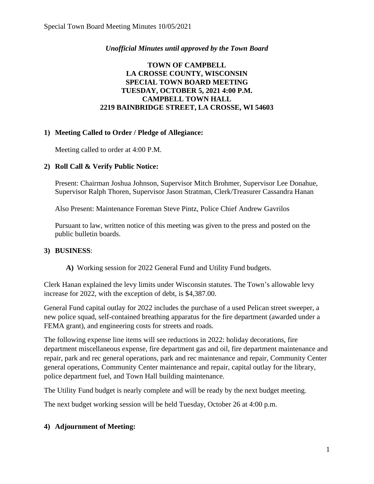# *Unofficial Minutes until approved by the Town Board*

### **TOWN OF CAMPBELL LA CROSSE COUNTY, WISCONSIN SPECIAL TOWN BOARD MEETING TUESDAY, OCTOBER 5, 2021 4:00 P.M. CAMPBELL TOWN HALL 2219 BAINBRIDGE STREET, LA CROSSE, WI 54603**

# **1) Meeting Called to Order / Pledge of Allegiance:**

Meeting called to order at 4:00 P.M.

# **2) Roll Call & Verify Public Notice:**

Present: Chairman Joshua Johnson, Supervisor Mitch Brohmer, Supervisor Lee Donahue, Supervisor Ralph Thoren, Supervisor Jason Stratman, Clerk/Treasurer Cassandra Hanan

Also Present: Maintenance Foreman Steve Pintz, Police Chief Andrew Gavrilos

Pursuant to law, written notice of this meeting was given to the press and posted on the public bulletin boards.

### **3) BUSINESS**:

**A)** Working session for 2022 General Fund and Utility Fund budgets.

Clerk Hanan explained the levy limits under Wisconsin statutes. The Town's allowable levy increase for 2022, with the exception of debt, is \$4,387.00.

General Fund capital outlay for 2022 includes the purchase of a used Pelican street sweeper, a new police squad, self-contained breathing apparatus for the fire department (awarded under a FEMA grant), and engineering costs for streets and roads.

The following expense line items will see reductions in 2022: holiday decorations, fire department miscellaneous expense, fire department gas and oil, fire department maintenance and repair, park and rec general operations, park and rec maintenance and repair, Community Center general operations, Community Center maintenance and repair, capital outlay for the library, police department fuel, and Town Hall building maintenance.

The Utility Fund budget is nearly complete and will be ready by the next budget meeting.

The next budget working session will be held Tuesday, October 26 at 4:00 p.m.

### **4) Adjournment of Meeting:**